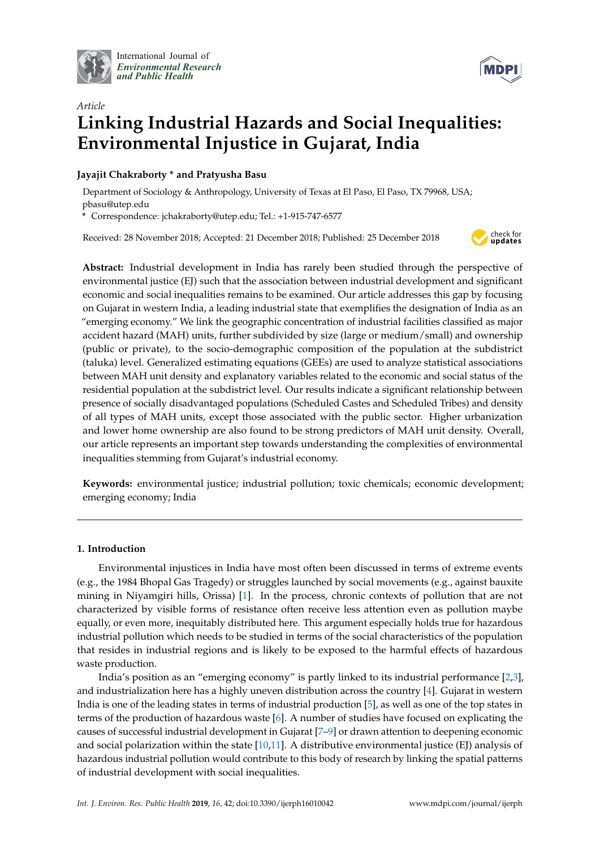

International Journal of *[Environmental Research](http://www.mdpi.com/journal/ijerph) and Public Health*



# *Article* **Linking Industrial Hazards and Social Inequalities: Environmental Injustice in Gujarat, India**

# **Jayajit Chakraborty \* and Pratyusha Basu**

Department of Sociology & Anthropology, University of Texas at El Paso, El Paso, TX 79968, USA; pbasu@utep.edu

**\*** Correspondence: jchakraborty@utep.edu; Tel.: +1-915-747-6577

Received: 28 November 2018; Accepted: 21 December 2018; Published: 25 December 2018



**Abstract:** Industrial development in India has rarely been studied through the perspective of environmental justice (EJ) such that the association between industrial development and significant economic and social inequalities remains to be examined. Our article addresses this gap by focusing on Gujarat in western India, a leading industrial state that exemplifies the designation of India as an "emerging economy." We link the geographic concentration of industrial facilities classified as major accident hazard (MAH) units, further subdivided by size (large or medium/small) and ownership (public or private), to the socio-demographic composition of the population at the subdistrict (taluka) level. Generalized estimating equations (GEEs) are used to analyze statistical associations between MAH unit density and explanatory variables related to the economic and social status of the residential population at the subdistrict level. Our results indicate a significant relationship between presence of socially disadvantaged populations (Scheduled Castes and Scheduled Tribes) and density of all types of MAH units, except those associated with the public sector. Higher urbanization and lower home ownership are also found to be strong predictors of MAH unit density. Overall, our article represents an important step towards understanding the complexities of environmental inequalities stemming from Gujarat's industrial economy.

**Keywords:** environmental justice; industrial pollution; toxic chemicals; economic development; emerging economy; India

## **1. Introduction**

Environmental injustices in India have most often been discussed in terms of extreme events (e.g., the 1984 Bhopal Gas Tragedy) or struggles launched by social movements (e.g., against bauxite mining in Niyamgiri hills, Orissa) [\[1\]](#page-9-0). In the process, chronic contexts of pollution that are not characterized by visible forms of resistance often receive less attention even as pollution maybe equally, or even more, inequitably distributed here. This argument especially holds true for hazardous industrial pollution which needs to be studied in terms of the social characteristics of the population that resides in industrial regions and is likely to be exposed to the harmful effects of hazardous waste production.

India's position as an "emerging economy" is partly linked to its industrial performance [\[2,](#page-9-1)[3\]](#page-9-2), and industrialization here has a highly uneven distribution across the country [\[4\]](#page-9-3). Gujarat in western India is one of the leading states in terms of industrial production [\[5\]](#page-9-4), as well as one of the top states in terms of the production of hazardous waste [\[6\]](#page-9-5). A number of studies have focused on explicating the causes of successful industrial development in Gujarat [\[7–](#page-9-6)[9\]](#page-9-7) or drawn attention to deepening economic and social polarization within the state [\[10](#page-9-8)[,11\]](#page-10-0). A distributive environmental justice (EJ) analysis of hazardous industrial pollution would contribute to this body of research by linking the spatial patterns of industrial development with social inequalities.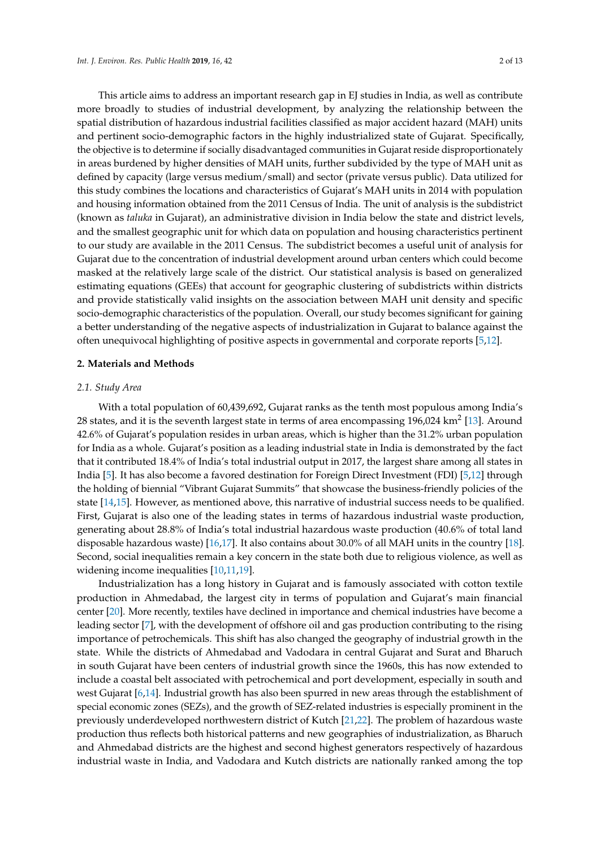This article aims to address an important research gap in EJ studies in India, as well as contribute more broadly to studies of industrial development, by analyzing the relationship between the spatial distribution of hazardous industrial facilities classified as major accident hazard (MAH) units and pertinent socio-demographic factors in the highly industrialized state of Gujarat. Specifically, the objective is to determine if socially disadvantaged communities in Gujarat reside disproportionately in areas burdened by higher densities of MAH units, further subdivided by the type of MAH unit as defined by capacity (large versus medium/small) and sector (private versus public). Data utilized for this study combines the locations and characteristics of Gujarat's MAH units in 2014 with population and housing information obtained from the 2011 Census of India. The unit of analysis is the subdistrict (known as *taluka* in Gujarat), an administrative division in India below the state and district levels, and the smallest geographic unit for which data on population and housing characteristics pertinent to our study are available in the 2011 Census. The subdistrict becomes a useful unit of analysis for Gujarat due to the concentration of industrial development around urban centers which could become masked at the relatively large scale of the district. Our statistical analysis is based on generalized estimating equations (GEEs) that account for geographic clustering of subdistricts within districts and provide statistically valid insights on the association between MAH unit density and specific socio-demographic characteristics of the population. Overall, our study becomes significant for gaining a better understanding of the negative aspects of industrialization in Gujarat to balance against the often unequivocal highlighting of positive aspects in governmental and corporate reports [\[5](#page-9-4)[,12\]](#page-10-1).

#### **2. Materials and Methods**

#### *2.1. Study Area*

With a total population of 60,439,692, Gujarat ranks as the tenth most populous among India's 28 states, and it is the seventh largest state in terms of area encompassing 196,024 km<sup>2</sup> [\[13\]](#page-10-2). Around 42.6% of Gujarat's population resides in urban areas, which is higher than the 31.2% urban population for India as a whole. Gujarat's position as a leading industrial state in India is demonstrated by the fact that it contributed 18.4% of India's total industrial output in 2017, the largest share among all states in India [\[5\]](#page-9-4). It has also become a favored destination for Foreign Direct Investment (FDI) [\[5](#page-9-4)[,12\]](#page-10-1) through the holding of biennial "Vibrant Gujarat Summits" that showcase the business-friendly policies of the state [\[14](#page-10-3)[,15\]](#page-10-4). However, as mentioned above, this narrative of industrial success needs to be qualified. First, Gujarat is also one of the leading states in terms of hazardous industrial waste production, generating about 28.8% of India's total industrial hazardous waste production (40.6% of total land disposable hazardous waste) [\[16,](#page-10-5)[17\]](#page-10-6). It also contains about 30.0% of all MAH units in the country [\[18\]](#page-10-7). Second, social inequalities remain a key concern in the state both due to religious violence, as well as widening income inequalities [\[10,](#page-9-8)[11,](#page-10-0)[19\]](#page-10-8).

Industrialization has a long history in Gujarat and is famously associated with cotton textile production in Ahmedabad, the largest city in terms of population and Gujarat's main financial center [\[20\]](#page-10-9). More recently, textiles have declined in importance and chemical industries have become a leading sector [\[7\]](#page-9-6), with the development of offshore oil and gas production contributing to the rising importance of petrochemicals. This shift has also changed the geography of industrial growth in the state. While the districts of Ahmedabad and Vadodara in central Gujarat and Surat and Bharuch in south Gujarat have been centers of industrial growth since the 1960s, this has now extended to include a coastal belt associated with petrochemical and port development, especially in south and west Gujarat [\[6,](#page-9-5)[14\]](#page-10-3). Industrial growth has also been spurred in new areas through the establishment of special economic zones (SEZs), and the growth of SEZ-related industries is especially prominent in the previously underdeveloped northwestern district of Kutch [\[21](#page-10-10)[,22\]](#page-10-11). The problem of hazardous waste production thus reflects both historical patterns and new geographies of industrialization, as Bharuch and Ahmedabad districts are the highest and second highest generators respectively of hazardous industrial waste in India, and Vadodara and Kutch districts are nationally ranked among the top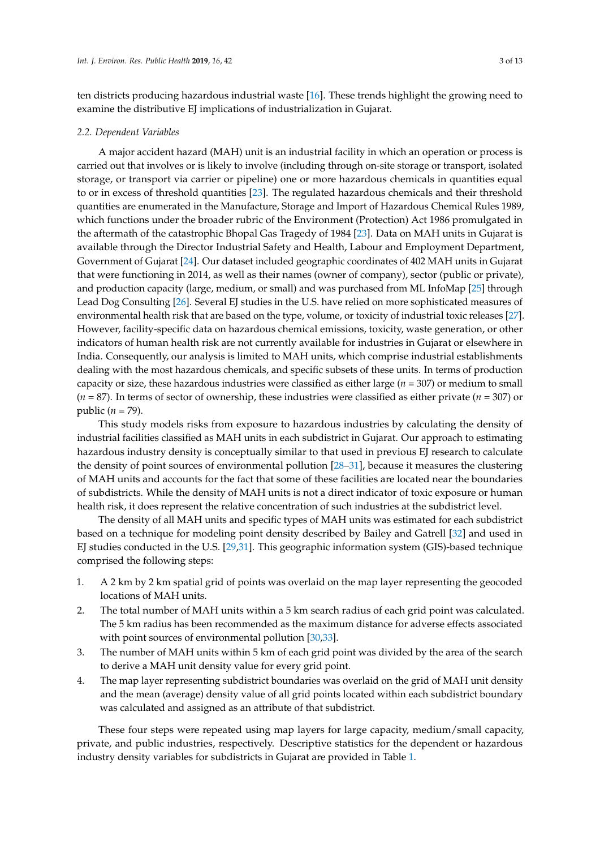ten districts producing hazardous industrial waste [\[16\]](#page-10-5). These trends highlight the growing need to examine the distributive EJ implications of industrialization in Gujarat.

#### *2.2. Dependent Variables*

A major accident hazard (MAH) unit is an industrial facility in which an operation or process is carried out that involves or is likely to involve (including through on-site storage or transport, isolated storage, or transport via carrier or pipeline) one or more hazardous chemicals in quantities equal to or in excess of threshold quantities [\[23\]](#page-10-12). The regulated hazardous chemicals and their threshold quantities are enumerated in the Manufacture, Storage and Import of Hazardous Chemical Rules 1989, which functions under the broader rubric of the Environment (Protection) Act 1986 promulgated in the aftermath of the catastrophic Bhopal Gas Tragedy of 1984 [\[23\]](#page-10-12). Data on MAH units in Gujarat is available through the Director Industrial Safety and Health, Labour and Employment Department, Government of Gujarat [\[24\]](#page-10-13). Our dataset included geographic coordinates of 402 MAH units in Gujarat that were functioning in 2014, as well as their names (owner of company), sector (public or private), and production capacity (large, medium, or small) and was purchased from ML InfoMap [\[25\]](#page-10-14) through Lead Dog Consulting [\[26\]](#page-10-15). Several EJ studies in the U.S. have relied on more sophisticated measures of environmental health risk that are based on the type, volume, or toxicity of industrial toxic releases [\[27\]](#page-10-16). However, facility-specific data on hazardous chemical emissions, toxicity, waste generation, or other indicators of human health risk are not currently available for industries in Gujarat or elsewhere in India. Consequently, our analysis is limited to MAH units, which comprise industrial establishments dealing with the most hazardous chemicals, and specific subsets of these units. In terms of production capacity or size, these hazardous industries were classified as either large (*n* = 307) or medium to small (*n* = 87). In terms of sector of ownership, these industries were classified as either private (*n* = 307) or public  $(n = 79)$ .

This study models risks from exposure to hazardous industries by calculating the density of industrial facilities classified as MAH units in each subdistrict in Gujarat. Our approach to estimating hazardous industry density is conceptually similar to that used in previous EJ research to calculate the density of point sources of environmental pollution [\[28–](#page-10-17)[31\]](#page-10-18), because it measures the clustering of MAH units and accounts for the fact that some of these facilities are located near the boundaries of subdistricts. While the density of MAH units is not a direct indicator of toxic exposure or human health risk, it does represent the relative concentration of such industries at the subdistrict level.

The density of all MAH units and specific types of MAH units was estimated for each subdistrict based on a technique for modeling point density described by Bailey and Gatrell [\[32\]](#page-10-19) and used in EJ studies conducted in the U.S. [\[29](#page-10-20)[,31\]](#page-10-18). This geographic information system (GIS)-based technique comprised the following steps:

- 1. A 2 km by 2 km spatial grid of points was overlaid on the map layer representing the geocoded locations of MAH units.
- 2. The total number of MAH units within a 5 km search radius of each grid point was calculated. The 5 km radius has been recommended as the maximum distance for adverse effects associated with point sources of environmental pollution [\[30](#page-10-21)[,33\]](#page-10-22).
- 3. The number of MAH units within 5 km of each grid point was divided by the area of the search to derive a MAH unit density value for every grid point.
- 4. The map layer representing subdistrict boundaries was overlaid on the grid of MAH unit density and the mean (average) density value of all grid points located within each subdistrict boundary was calculated and assigned as an attribute of that subdistrict.

These four steps were repeated using map layers for large capacity, medium/small capacity, private, and public industries, respectively. Descriptive statistics for the dependent or hazardous industry density variables for subdistricts in Gujarat are provided in Table [1.](#page-3-0)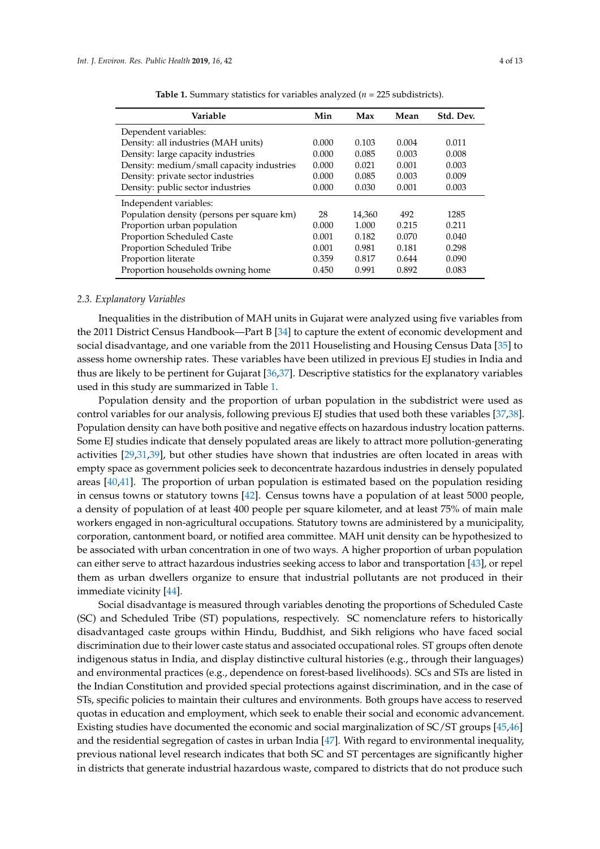<span id="page-3-0"></span>

| Variable                                   | Min   | Max    | Mean  | Std. Dev. |
|--------------------------------------------|-------|--------|-------|-----------|
| Dependent variables:                       |       |        |       |           |
| Density: all industries (MAH units)        | 0.000 | 0.103  | 0.004 | 0.011     |
| Density: large capacity industries         | 0.000 | 0.085  | 0.003 | 0.008     |
| Density: medium/small capacity industries  | 0.000 | 0.021  | 0.001 | 0.003     |
| Density: private sector industries         | 0.000 | 0.085  | 0.003 | 0.009     |
| Density: public sector industries          | 0.000 | 0.030  | 0.001 | 0.003     |
| Independent variables:                     |       |        |       |           |
| Population density (persons per square km) | 28    | 14,360 | 492   | 1285      |
| Proportion urban population                | 0.000 | 1.000  | 0.215 | 0.211     |
| Proportion Scheduled Caste                 | 0.001 | 0.182  | 0.070 | 0.040     |
| Proportion Scheduled Tribe                 | 0.001 | 0.981  | 0.181 | 0.298     |
| Proportion literate                        | 0.359 | 0.817  | 0.644 | 0.090     |
| Proportion households owning home          | 0.450 | 0.991  | 0.892 | 0.083     |
|                                            |       |        |       |           |

**Table 1.** Summary statistics for variables analyzed (*n* = 225 subdistricts).

#### *2.3. Explanatory Variables*

Inequalities in the distribution of MAH units in Gujarat were analyzed using five variables from the 2011 District Census Handbook—Part B [\[34\]](#page-11-0) to capture the extent of economic development and social disadvantage, and one variable from the 2011 Houselisting and Housing Census Data [\[35\]](#page-11-1) to assess home ownership rates. These variables have been utilized in previous EJ studies in India and thus are likely to be pertinent for Gujarat [\[36,](#page-11-2)[37\]](#page-11-3). Descriptive statistics for the explanatory variables used in this study are summarized in Table [1.](#page-3-0)

Population density and the proportion of urban population in the subdistrict were used as control variables for our analysis, following previous EJ studies that used both these variables [\[37](#page-11-3)[,38\]](#page-11-4). Population density can have both positive and negative effects on hazardous industry location patterns. Some EJ studies indicate that densely populated areas are likely to attract more pollution-generating activities [\[29](#page-10-20)[,31,](#page-10-18)[39\]](#page-11-5), but other studies have shown that industries are often located in areas with empty space as government policies seek to deconcentrate hazardous industries in densely populated areas [\[40](#page-11-6)[,41\]](#page-11-7). The proportion of urban population is estimated based on the population residing in census towns or statutory towns [\[42\]](#page-11-8). Census towns have a population of at least 5000 people, a density of population of at least 400 people per square kilometer, and at least 75% of main male workers engaged in non-agricultural occupations. Statutory towns are administered by a municipality, corporation, cantonment board, or notified area committee. MAH unit density can be hypothesized to be associated with urban concentration in one of two ways. A higher proportion of urban population can either serve to attract hazardous industries seeking access to labor and transportation [\[43\]](#page-11-9), or repel them as urban dwellers organize to ensure that industrial pollutants are not produced in their immediate vicinity [\[44\]](#page-11-10).

Social disadvantage is measured through variables denoting the proportions of Scheduled Caste (SC) and Scheduled Tribe (ST) populations, respectively. SC nomenclature refers to historically disadvantaged caste groups within Hindu, Buddhist, and Sikh religions who have faced social discrimination due to their lower caste status and associated occupational roles. ST groups often denote indigenous status in India, and display distinctive cultural histories (e.g., through their languages) and environmental practices (e.g., dependence on forest-based livelihoods). SCs and STs are listed in the Indian Constitution and provided special protections against discrimination, and in the case of STs, specific policies to maintain their cultures and environments. Both groups have access to reserved quotas in education and employment, which seek to enable their social and economic advancement. Existing studies have documented the economic and social marginalization of SC/ST groups [\[45](#page-11-11)[,46\]](#page-11-12) and the residential segregation of castes in urban India [\[47\]](#page-11-13). With regard to environmental inequality, previous national level research indicates that both SC and ST percentages are significantly higher in districts that generate industrial hazardous waste, compared to districts that do not produce such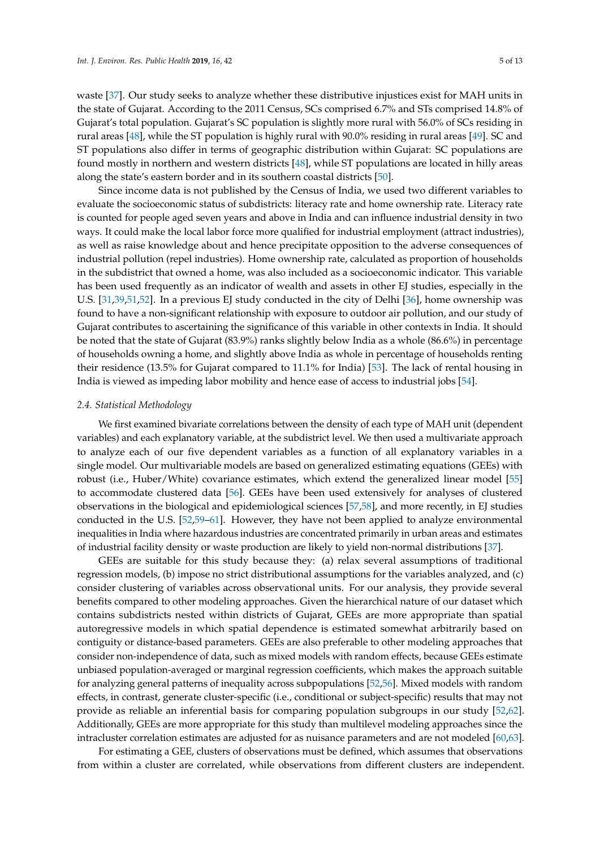waste [\[37\]](#page-11-3). Our study seeks to analyze whether these distributive injustices exist for MAH units in the state of Gujarat. According to the 2011 Census, SCs comprised 6.7% and STs comprised 14.8% of Gujarat's total population. Gujarat's SC population is slightly more rural with 56.0% of SCs residing in rural areas [\[48\]](#page-11-14), while the ST population is highly rural with 90.0% residing in rural areas [\[49\]](#page-11-15). SC and ST populations also differ in terms of geographic distribution within Gujarat: SC populations are found mostly in northern and western districts [\[48\]](#page-11-14), while ST populations are located in hilly areas along the state's eastern border and in its southern coastal districts [\[50\]](#page-11-16).

Since income data is not published by the Census of India, we used two different variables to evaluate the socioeconomic status of subdistricts: literacy rate and home ownership rate. Literacy rate is counted for people aged seven years and above in India and can influence industrial density in two ways. It could make the local labor force more qualified for industrial employment (attract industries), as well as raise knowledge about and hence precipitate opposition to the adverse consequences of industrial pollution (repel industries). Home ownership rate, calculated as proportion of households in the subdistrict that owned a home, was also included as a socioeconomic indicator. This variable has been used frequently as an indicator of wealth and assets in other EJ studies, especially in the U.S. [\[31,](#page-10-18)[39,](#page-11-5)[51,](#page-11-17)[52\]](#page-11-18). In a previous EJ study conducted in the city of Delhi [\[36\]](#page-11-2), home ownership was found to have a non-significant relationship with exposure to outdoor air pollution, and our study of Gujarat contributes to ascertaining the significance of this variable in other contexts in India. It should be noted that the state of Gujarat (83.9%) ranks slightly below India as a whole (86.6%) in percentage of households owning a home, and slightly above India as whole in percentage of households renting their residence (13.5% for Gujarat compared to 11.1% for India) [\[53\]](#page-11-19). The lack of rental housing in India is viewed as impeding labor mobility and hence ease of access to industrial jobs [\[54\]](#page-11-20).

#### *2.4. Statistical Methodology*

We first examined bivariate correlations between the density of each type of MAH unit (dependent variables) and each explanatory variable, at the subdistrict level. We then used a multivariate approach to analyze each of our five dependent variables as a function of all explanatory variables in a single model. Our multivariable models are based on generalized estimating equations (GEEs) with robust (i.e., Huber/White) covariance estimates, which extend the generalized linear model [\[55\]](#page-11-21) to accommodate clustered data [\[56\]](#page-11-22). GEEs have been used extensively for analyses of clustered observations in the biological and epidemiological sciences [\[57](#page-11-23)[,58\]](#page-11-24), and more recently, in EJ studies conducted in the U.S. [\[52,](#page-11-18)[59](#page-11-25)[–61\]](#page-12-0). However, they have not been applied to analyze environmental inequalities in India where hazardous industries are concentrated primarily in urban areas and estimates of industrial facility density or waste production are likely to yield non-normal distributions [\[37\]](#page-11-3).

GEEs are suitable for this study because they: (a) relax several assumptions of traditional regression models, (b) impose no strict distributional assumptions for the variables analyzed, and (c) consider clustering of variables across observational units. For our analysis, they provide several benefits compared to other modeling approaches. Given the hierarchical nature of our dataset which contains subdistricts nested within districts of Gujarat, GEEs are more appropriate than spatial autoregressive models in which spatial dependence is estimated somewhat arbitrarily based on contiguity or distance-based parameters. GEEs are also preferable to other modeling approaches that consider non-independence of data, such as mixed models with random effects, because GEEs estimate unbiased population-averaged or marginal regression coefficients, which makes the approach suitable for analyzing general patterns of inequality across subpopulations [\[52,](#page-11-18)[56\]](#page-11-22). Mixed models with random effects, in contrast, generate cluster-specific (i.e., conditional or subject-specific) results that may not provide as reliable an inferential basis for comparing population subgroups in our study [\[52,](#page-11-18)[62\]](#page-12-1). Additionally, GEEs are more appropriate for this study than multilevel modeling approaches since the intracluster correlation estimates are adjusted for as nuisance parameters and are not modeled [\[60](#page-12-2)[,63\]](#page-12-3).

For estimating a GEE, clusters of observations must be defined, which assumes that observations from within a cluster are correlated, while observations from different clusters are independent.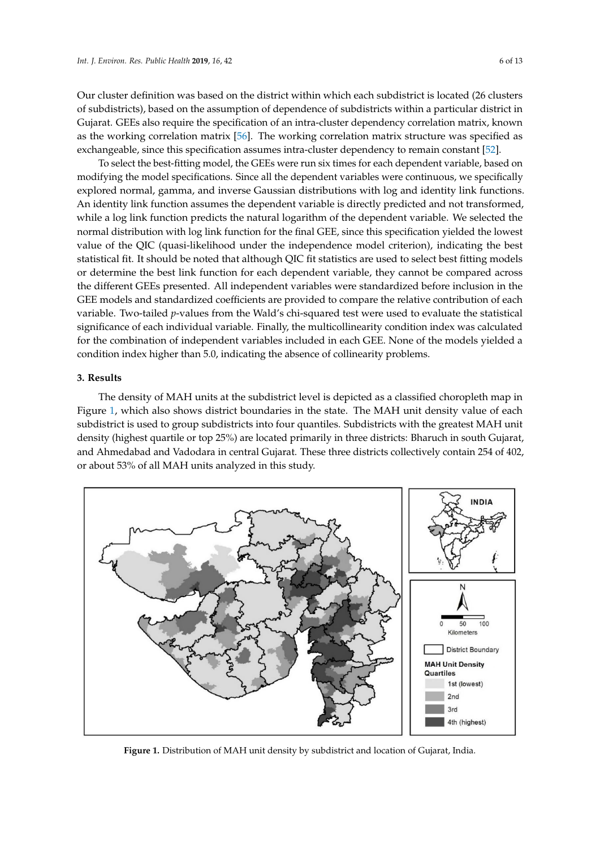Our cluster definition was based on the district within which each subdistrict is located (26 clusters of subdistricts), based on the assumption of dependence of subdistricts within a particular district in subdistricts), based on the assumption of dependence of subdistricts within a particular district in Gujarat. GEEs also require the specification of an intra-cluster dependency correlation matrix, known Gujarat. GEEs also require the specification of an intra-cluster dependency correlation matrix, known as the working correlation matrix [\[56\]](#page-11-22). The working correlation matrix structure was specified as as the working correlation matrix [56]. The working correlation matrix structure was specified as exchangeable, since this specification assumes intra-cluster dependency to remain constant [\[52\]](#page-11-18). exchangeable, since this specification assumes intra-cluster dependency to remain constant [52].

To select the best-fitting model, the GEEs were run six times for each dependent variable, based on To select the best-fitting model, the GEEs were run six times for each dependent variable, based modifying the model specifications. Since all the dependent variables were continuous, we specifically explored normal, gamma, and inverse Gaussian distributions with log and identity link functions. An identity link function assumes the dependent variable is directly predicted and not transformed, while a log link function predicts the natural logarithm of the dependent variable. We selected the normal distribution with log link function for the final GEE, since this specification yielded the lowest value of the QIC (quasi-likelihood under the independence model criterion), indicating the best statistical fit. It should be noted that although QIC fit statistics are used to select best fitting models or determine the best link function for each dependent variable, they cannot be compared across the different GEEs presented. All independent variables were standardized before inclusion in the GEE models and standardized coefficients are provided to compare the relative contribution of each variable. Two-tailed *p*-values from the Wald's chi-squared test were used to evaluate the statistical significance of each individual variable. Finally, the multicollinearity condition index was calculated for the combination of independent variables included in each GEE. None of the models yielded a condition index higher than 5.0, indicating the absence of collinearity problems.

# **3. Results 3. Results**

The density of MAH units at the subdistrict level is depicted as a classified choropleth map in The density of MAH units at the subdistrict level is depicted as a classified choropleth map in Figure [1,](#page-5-0) which also shows district boundaries in the state. The MAH unit density value of each Figure 1, which also shows district boundaries in the state. The MAH unit density value of each subdistrict is used to group subdistricts into four quantiles. Subdistricts with the greatest MAH unit subdistrict is used to group subdistricts into four quantiles. Subdistricts with the greatest MAH unit density (highest quartile or top 25%) are located primarily in three districts: Bharuch in south Gujarat, density (highest quartile or top 25%) are located primarily in three districts: Bharuch in south Gujarat, and Ahmedabad and Vadodara in central Gujarat. These three districts collectively contain 254 of 402, and Ahmedabad and Vadodara in central Gujarat. These three districts collectively contain 254 of or about 53% of all MAH units analyzed in this study. 402, or about 53% of all MAH units analyzed in this study.

<span id="page-5-0"></span>

**Figure 1.** Distribution of MAH unit density by subdistrict and location of Gujarat, India. **Figure 1.** Distribution of MAH unit density by subdistrict and location of Gujarat, India.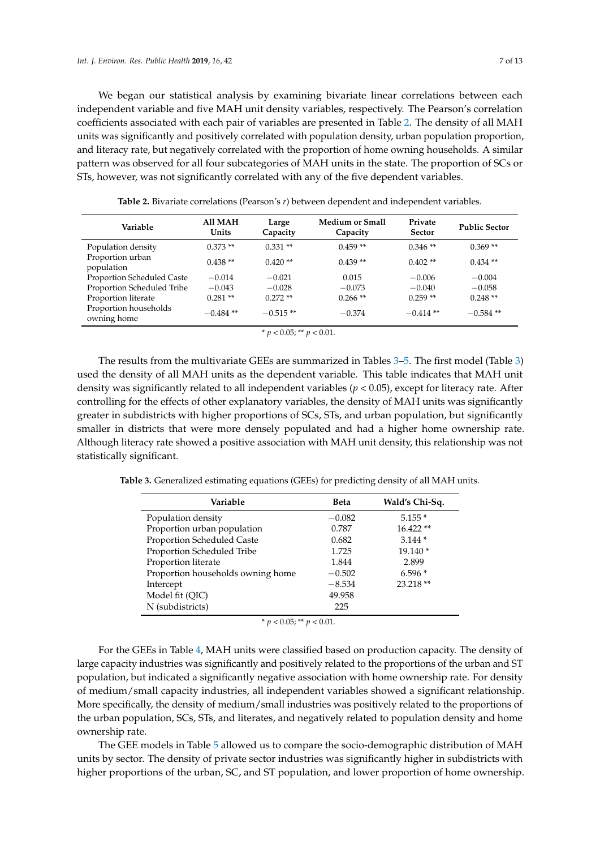We began our statistical analysis by examining bivariate linear correlations between each independent variable and five MAH unit density variables, respectively. The Pearson's correlation coefficients associated with each pair of variables are presented in Table [2.](#page-6-0) The density of all MAH units was significantly and positively correlated with population density, urban population proportion, and literacy rate, but negatively correlated with the proportion of home owning households. A similar pattern was observed for all four subcategories of MAH units in the state. The proportion of SCs or STs, however, was not significantly correlated with any of the five dependent variables.

<span id="page-6-0"></span>

| Variable                             | All MAH<br>Units | Large<br>Capacity | <b>Medium or Small</b><br>Capacity | Private<br><b>Sector</b> | <b>Public Sector</b> |
|--------------------------------------|------------------|-------------------|------------------------------------|--------------------------|----------------------|
| Population density                   | $0.373**$        | $0.331**$         | $0.459**$                          | $0.346**$                | $0.369**$            |
| Proportion urban<br>population       | $0.438**$        | $0.420**$         | $0.439**$                          | $0.402**$                | $0.434$ **           |
| Proportion Scheduled Caste           | $-0.014$         | $-0.021$          | 0.015                              | $-0.006$                 | $-0.004$             |
| Proportion Scheduled Tribe           | $-0.043$         | $-0.028$          | $-0.073$                           | $-0.040$                 | $-0.058$             |
| Proportion literate                  | $0.281**$        | $0.272**$         | $0.266**$                          | $0.259**$                | $0.248**$            |
| Proportion households<br>owning home | $-0.484$ **      | $-0.515**$        | $-0.374$                           | $-0.414$ **              | $-0.584$ **          |

**Table 2.** Bivariate correlations (Pearson's *r*) between dependent and independent variables.

 $* p < 0.05; ** p < 0.01.$ 

The results from the multivariate GEEs are summarized in Tables [3–](#page-6-1)[5.](#page-7-0) The first model (Table [3\)](#page-6-1) used the density of all MAH units as the dependent variable. This table indicates that MAH unit density was significantly related to all independent variables (*p* < 0.05), except for literacy rate. After controlling for the effects of other explanatory variables, the density of MAH units was significantly greater in subdistricts with higher proportions of SCs, STs, and urban population, but significantly smaller in districts that were more densely populated and had a higher home ownership rate. Although literacy rate showed a positive association with MAH unit density, this relationship was not statistically significant.

<span id="page-6-1"></span>**Table 3.** Generalized estimating equations (GEEs) for predicting density of all MAH units.

| Variable                          | Beta     | Wald's Chi-Sq. |
|-----------------------------------|----------|----------------|
| Population density                | $-0.082$ | $5.155*$       |
| Proportion urban population       | 0.787    | $16.422**$     |
| Proportion Scheduled Caste        | 0.682    | $3.144*$       |
| Proportion Scheduled Tribe        | 1.725    | $19.140*$      |
| Proportion literate               | 1.844    | 2.899          |
| Proportion households owning home | $-0.502$ | $6.596*$       |
| Intercept                         | $-8.534$ | $23.218**$     |
| Model fit (QIC)                   | 49.958   |                |
| N (subdistricts)                  | 225      |                |

 $* p < 0.05; ** p < 0.01.$ 

For the GEEs in Table [4,](#page-7-1) MAH units were classified based on production capacity. The density of large capacity industries was significantly and positively related to the proportions of the urban and ST population, but indicated a significantly negative association with home ownership rate. For density of medium/small capacity industries, all independent variables showed a significant relationship. More specifically, the density of medium/small industries was positively related to the proportions of the urban population, SCs, STs, and literates, and negatively related to population density and home ownership rate.

The GEE models in Table [5](#page-7-0) allowed us to compare the socio-demographic distribution of MAH units by sector. The density of private sector industries was significantly higher in subdistricts with higher proportions of the urban, SC, and ST population, and lower proportion of home ownership.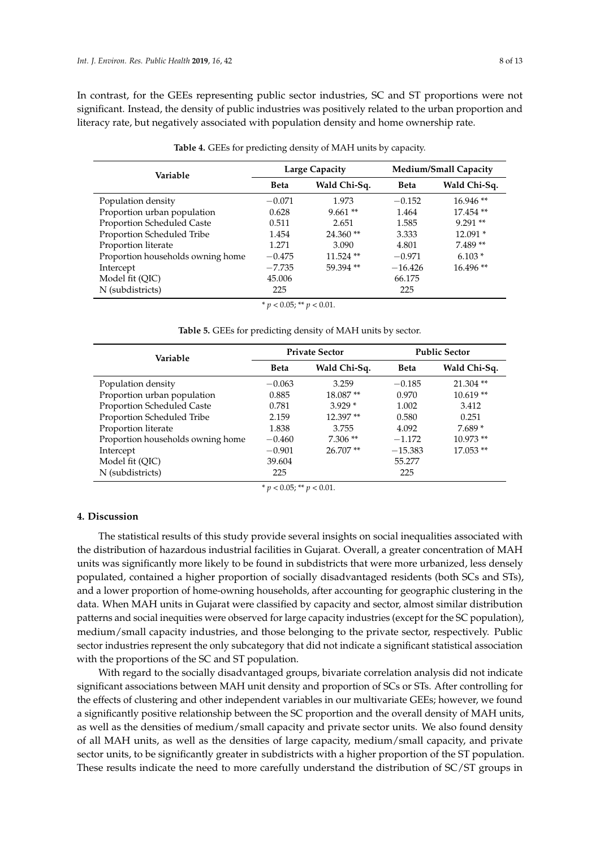In contrast, for the GEEs representing public sector industries, SC and ST proportions were not significant. Instead, the density of public industries was positively related to the urban proportion and literacy rate, but negatively associated with population density and home ownership rate.

<span id="page-7-1"></span>

| Variable                          |             | <b>Large Capacity</b> | <b>Medium/Small Capacity</b> |              |
|-----------------------------------|-------------|-----------------------|------------------------------|--------------|
|                                   | <b>Beta</b> | Wald Chi-Sq.          | <b>Beta</b>                  | Wald Chi-Sq. |
| Population density                | $-0.071$    | 1.973                 | $-0.152$                     | $16.946**$   |
| Proportion urban population       | 0.628       | $9.661**$             | 1.464                        | 17.454 **    |
| Proportion Scheduled Caste        | 0.511       | 2.651                 | 1.585                        | $9.291**$    |
| Proportion Scheduled Tribe        | 1.454       | $24.360**$            | 3.333                        | $12.091*$    |
| Proportion literate               | 1.271       | 3.090                 | 4.801                        | $7.489**$    |
| Proportion households owning home | $-0.475$    | $11.524$ **           | $-0.971$                     | $6.103*$     |
| Intercept                         | $-7.735$    | 59.394 **             | $-16.426$                    | $16.496**$   |
| Model fit (QIC)                   | 45,006      |                       | 66.175                       |              |
| N (subdistricts)                  | 225         |                       | 225                          |              |

| Table 4. GEEs for predicting density of MAH units by capacity. |  |  |  |  |  |
|----------------------------------------------------------------|--|--|--|--|--|
|----------------------------------------------------------------|--|--|--|--|--|

\* *p* < 0.05; \*\* *p* < 0.01.

**Table 5.** GEEs for predicting density of MAH units by sector.

<span id="page-7-0"></span>

| Variable                          |             | <b>Private Sector</b> | <b>Public Sector</b> |              |
|-----------------------------------|-------------|-----------------------|----------------------|--------------|
|                                   | <b>Beta</b> | Wald Chi-Sq.          | <b>Beta</b>          | Wald Chi-Sq. |
| Population density                | $-0.063$    | 3.259                 | $-0.185$             | $21.304$ **  |
| Proportion urban population       | 0.885       | 18.087**              | 0.970                | $10.619**$   |
| Proportion Scheduled Caste        | 0.781       | $3.929*$              | 1.002                | 3.412        |
| Proportion Scheduled Tribe        | 2.159       | $12.397**$            | 0.580                | 0.251        |
| Proportion literate               | 1.838       | 3.755                 | 4.092                | $7.689*$     |
| Proportion households owning home | $-0.460$    | $7.306**$             | $-1.172$             | $10.973**$   |
| Intercept                         | $-0.901$    | $26.707**$            | $-15.383$            | $17.053**$   |
| Model fit (QIC)                   | 39.604      |                       | 55.277               |              |
| N (subdistricts)                  | 225         |                       | 225                  |              |

 $* p < 0.05; ** p < 0.01.$ 

#### **4. Discussion**

The statistical results of this study provide several insights on social inequalities associated with the distribution of hazardous industrial facilities in Gujarat. Overall, a greater concentration of MAH units was significantly more likely to be found in subdistricts that were more urbanized, less densely populated, contained a higher proportion of socially disadvantaged residents (both SCs and STs), and a lower proportion of home-owning households, after accounting for geographic clustering in the data. When MAH units in Gujarat were classified by capacity and sector, almost similar distribution patterns and social inequities were observed for large capacity industries (except for the SC population), medium/small capacity industries, and those belonging to the private sector, respectively. Public sector industries represent the only subcategory that did not indicate a significant statistical association with the proportions of the SC and ST population.

With regard to the socially disadvantaged groups, bivariate correlation analysis did not indicate significant associations between MAH unit density and proportion of SCs or STs. After controlling for the effects of clustering and other independent variables in our multivariate GEEs; however, we found a significantly positive relationship between the SC proportion and the overall density of MAH units, as well as the densities of medium/small capacity and private sector units. We also found density of all MAH units, as well as the densities of large capacity, medium/small capacity, and private sector units, to be significantly greater in subdistricts with a higher proportion of the ST population. These results indicate the need to more carefully understand the distribution of SC/ST groups in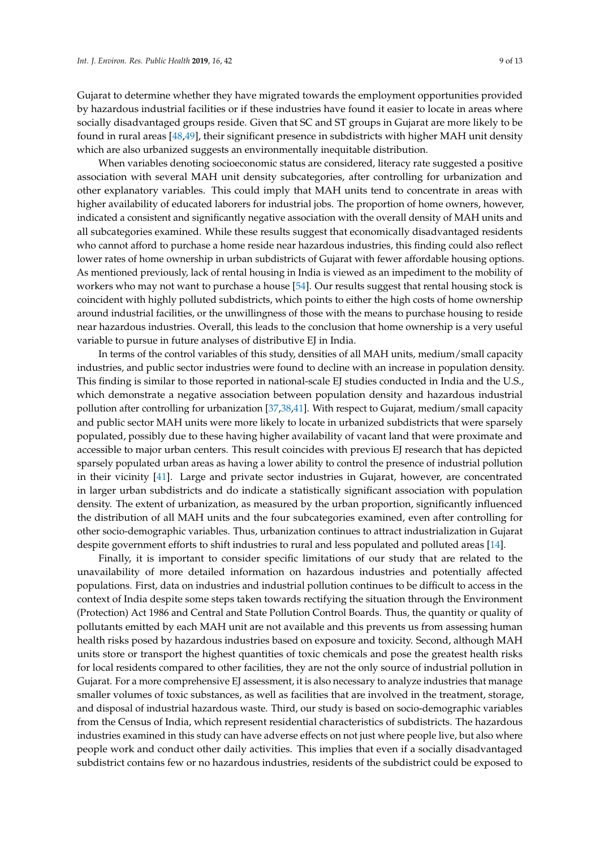Gujarat to determine whether they have migrated towards the employment opportunities provided by hazardous industrial facilities or if these industries have found it easier to locate in areas where socially disadvantaged groups reside. Given that SC and ST groups in Gujarat are more likely to be found in rural areas [\[48,](#page-11-14)[49\]](#page-11-15), their significant presence in subdistricts with higher MAH unit density which are also urbanized suggests an environmentally inequitable distribution.

When variables denoting socioeconomic status are considered, literacy rate suggested a positive association with several MAH unit density subcategories, after controlling for urbanization and other explanatory variables. This could imply that MAH units tend to concentrate in areas with higher availability of educated laborers for industrial jobs. The proportion of home owners, however, indicated a consistent and significantly negative association with the overall density of MAH units and all subcategories examined. While these results suggest that economically disadvantaged residents who cannot afford to purchase a home reside near hazardous industries, this finding could also reflect lower rates of home ownership in urban subdistricts of Gujarat with fewer affordable housing options. As mentioned previously, lack of rental housing in India is viewed as an impediment to the mobility of workers who may not want to purchase a house [\[54\]](#page-11-20). Our results suggest that rental housing stock is coincident with highly polluted subdistricts, which points to either the high costs of home ownership around industrial facilities, or the unwillingness of those with the means to purchase housing to reside near hazardous industries. Overall, this leads to the conclusion that home ownership is a very useful variable to pursue in future analyses of distributive EJ in India.

In terms of the control variables of this study, densities of all MAH units, medium/small capacity industries, and public sector industries were found to decline with an increase in population density. This finding is similar to those reported in national-scale EJ studies conducted in India and the U.S., which demonstrate a negative association between population density and hazardous industrial pollution after controlling for urbanization [\[37,](#page-11-3)[38](#page-11-4)[,41\]](#page-11-7). With respect to Gujarat, medium/small capacity and public sector MAH units were more likely to locate in urbanized subdistricts that were sparsely populated, possibly due to these having higher availability of vacant land that were proximate and accessible to major urban centers. This result coincides with previous EJ research that has depicted sparsely populated urban areas as having a lower ability to control the presence of industrial pollution in their vicinity [\[41\]](#page-11-7). Large and private sector industries in Gujarat, however, are concentrated in larger urban subdistricts and do indicate a statistically significant association with population density. The extent of urbanization, as measured by the urban proportion, significantly influenced the distribution of all MAH units and the four subcategories examined, even after controlling for other socio-demographic variables. Thus, urbanization continues to attract industrialization in Gujarat despite government efforts to shift industries to rural and less populated and polluted areas [\[14\]](#page-10-3).

Finally, it is important to consider specific limitations of our study that are related to the unavailability of more detailed information on hazardous industries and potentially affected populations. First, data on industries and industrial pollution continues to be difficult to access in the context of India despite some steps taken towards rectifying the situation through the Environment (Protection) Act 1986 and Central and State Pollution Control Boards. Thus, the quantity or quality of pollutants emitted by each MAH unit are not available and this prevents us from assessing human health risks posed by hazardous industries based on exposure and toxicity. Second, although MAH units store or transport the highest quantities of toxic chemicals and pose the greatest health risks for local residents compared to other facilities, they are not the only source of industrial pollution in Gujarat. For a more comprehensive EJ assessment, it is also necessary to analyze industries that manage smaller volumes of toxic substances, as well as facilities that are involved in the treatment, storage, and disposal of industrial hazardous waste. Third, our study is based on socio-demographic variables from the Census of India, which represent residential characteristics of subdistricts. The hazardous industries examined in this study can have adverse effects on not just where people live, but also where people work and conduct other daily activities. This implies that even if a socially disadvantaged subdistrict contains few or no hazardous industries, residents of the subdistrict could be exposed to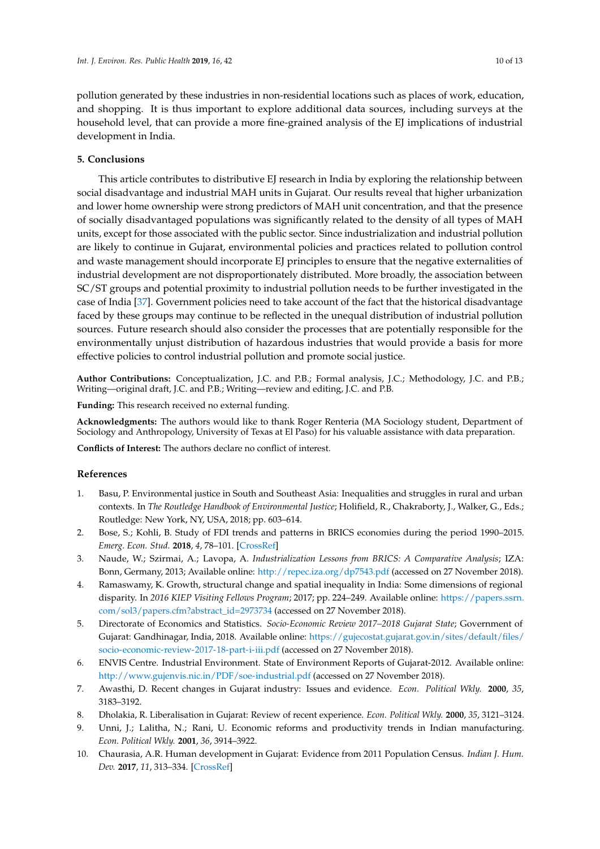pollution generated by these industries in non-residential locations such as places of work, education, and shopping. It is thus important to explore additional data sources, including surveys at the household level, that can provide a more fine-grained analysis of the EJ implications of industrial development in India.

### **5. Conclusions**

This article contributes to distributive EJ research in India by exploring the relationship between social disadvantage and industrial MAH units in Gujarat. Our results reveal that higher urbanization and lower home ownership were strong predictors of MAH unit concentration, and that the presence of socially disadvantaged populations was significantly related to the density of all types of MAH units, except for those associated with the public sector. Since industrialization and industrial pollution are likely to continue in Gujarat, environmental policies and practices related to pollution control and waste management should incorporate EJ principles to ensure that the negative externalities of industrial development are not disproportionately distributed. More broadly, the association between SC/ST groups and potential proximity to industrial pollution needs to be further investigated in the case of India [\[37\]](#page-11-3). Government policies need to take account of the fact that the historical disadvantage faced by these groups may continue to be reflected in the unequal distribution of industrial pollution sources. Future research should also consider the processes that are potentially responsible for the environmentally unjust distribution of hazardous industries that would provide a basis for more effective policies to control industrial pollution and promote social justice.

**Author Contributions:** Conceptualization, J.C. and P.B.; Formal analysis, J.C.; Methodology, J.C. and P.B.; Writing—original draft, J.C. and P.B.; Writing—review and editing, J.C. and P.B.

**Funding:** This research received no external funding.

**Acknowledgments:** The authors would like to thank Roger Renteria (MA Sociology student, Department of Sociology and Anthropology, University of Texas at El Paso) for his valuable assistance with data preparation.

**Conflicts of Interest:** The authors declare no conflict of interest.

#### **References**

- <span id="page-9-0"></span>1. Basu, P. Environmental justice in South and Southeast Asia: Inequalities and struggles in rural and urban contexts. In *The Routledge Handbook of Environmental Justice*; Holifield, R., Chakraborty, J., Walker, G., Eds.; Routledge: New York, NY, USA, 2018; pp. 603–614.
- <span id="page-9-1"></span>2. Bose, S.; Kohli, B. Study of FDI trends and patterns in BRICS economies during the period 1990–2015. *Emerg. Econ. Stud.* **2018**, *4*, 78–101. [\[CrossRef\]](http://dx.doi.org/10.1177/2394901518769225)
- <span id="page-9-2"></span>3. Naude, W.; Szirmai, A.; Lavopa, A. *Industrialization Lessons from BRICS: A Comparative Analysis*; IZA: Bonn, Germany, 2013; Available online: <http://repec.iza.org/dp7543.pdf> (accessed on 27 November 2018).
- <span id="page-9-3"></span>4. Ramaswamy, K. Growth, structural change and spatial inequality in India: Some dimensions of regional disparity. In *2016 KIEP Visiting Fellows Program*; 2017; pp. 224–249. Available online: [https://papers.ssrn.](https://papers.ssrn.com/sol3/papers.cfm?abstract_id=2973734) [com/sol3/papers.cfm?abstract\\_id=2973734](https://papers.ssrn.com/sol3/papers.cfm?abstract_id=2973734) (accessed on 27 November 2018).
- <span id="page-9-4"></span>5. Directorate of Economics and Statistics. *Socio-Economic Review 2017–2018 Gujarat State*; Government of Gujarat: Gandhinagar, India, 2018. Available online: [https://gujecostat.gujarat.gov.in/sites/default/files/](https://gujecostat.gujarat.gov.in/sites/default/files/socio-economic-review-2017-18-part-i-iii.pdf) [socio-economic-review-2017-18-part-i-iii.pdf](https://gujecostat.gujarat.gov.in/sites/default/files/socio-economic-review-2017-18-part-i-iii.pdf) (accessed on 27 November 2018).
- <span id="page-9-5"></span>6. ENVIS Centre. Industrial Environment. State of Environment Reports of Gujarat-2012. Available online: <http://www.gujenvis.nic.in/PDF/soe-industrial.pdf> (accessed on 27 November 2018).
- <span id="page-9-6"></span>7. Awasthi, D. Recent changes in Gujarat industry: Issues and evidence. *Econ. Political Wkly.* **2000**, *35*, 3183–3192.
- 8. Dholakia, R. Liberalisation in Gujarat: Review of recent experience. *Econ. Political Wkly.* **2000**, *35*, 3121–3124.
- <span id="page-9-7"></span>9. Unni, J.; Lalitha, N.; Rani, U. Economic reforms and productivity trends in Indian manufacturing. *Econ. Political Wkly.* **2001**, *36*, 3914–3922.
- <span id="page-9-8"></span>10. Chaurasia, A.R. Human development in Gujarat: Evidence from 2011 Population Census. *Indian J. Hum. Dev.* **2017**, *11*, 313–334. [\[CrossRef\]](http://dx.doi.org/10.1177/0973703017748383)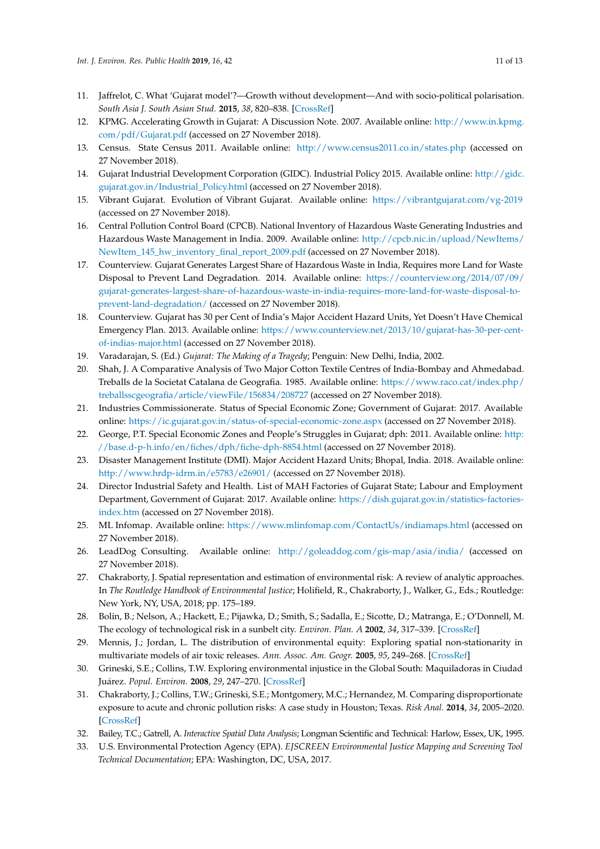- <span id="page-10-0"></span>11. Jaffrelot, C. What 'Gujarat model'?—Growth without development—And with socio-political polarisation. *South Asia J. South Asian Stud.* **2015**, *38*, 820–838. [\[CrossRef\]](http://dx.doi.org/10.1080/00856401.2015.1087456)
- <span id="page-10-1"></span>12. KPMG. Accelerating Growth in Gujarat: A Discussion Note. 2007. Available online: [http://www.in.kpmg.](http://www.in.kpmg.com/pdf/Gujarat.pdf) [com/pdf/Gujarat.pdf](http://www.in.kpmg.com/pdf/Gujarat.pdf) (accessed on 27 November 2018).
- <span id="page-10-2"></span>13. Census. State Census 2011. Available online: <http://www.census2011.co.in/states.php> (accessed on 27 November 2018).
- <span id="page-10-3"></span>14. Gujarat Industrial Development Corporation (GIDC). Industrial Policy 2015. Available online: [http://gidc.](http://gidc.gujarat.gov.in/Industrial_Policy.html) [gujarat.gov.in/Industrial\\_Policy.html](http://gidc.gujarat.gov.in/Industrial_Policy.html) (accessed on 27 November 2018).
- <span id="page-10-4"></span>15. Vibrant Gujarat. Evolution of Vibrant Gujarat. Available online: <https://vibrantgujarat.com/vg-2019> (accessed on 27 November 2018).
- <span id="page-10-5"></span>16. Central Pollution Control Board (CPCB). National Inventory of Hazardous Waste Generating Industries and Hazardous Waste Management in India. 2009. Available online: [http://cpcb.nic.in/upload/NewItems/](http://cpcb.nic.in/upload/NewItems/NewItem_145_hw_inventory_final_report_2009.pdf) [NewItem\\_145\\_hw\\_inventory\\_final\\_report\\_2009.pdf](http://cpcb.nic.in/upload/NewItems/NewItem_145_hw_inventory_final_report_2009.pdf) (accessed on 27 November 2018).
- <span id="page-10-6"></span>17. Counterview. Gujarat Generates Largest Share of Hazardous Waste in India, Requires more Land for Waste Disposal to Prevent Land Degradation. 2014. Available online: [https://counterview.org/2014/07/09/](https://counterview.org/2014/07/09/gujarat-generates-largest-share-of-hazardous-waste-in-india-requires-more-land-for-waste-disposal-to-prevent-land-degradation/) [gujarat-generates-largest-share-of-hazardous-waste-in-india-requires-more-land-for-waste-disposal-to](https://counterview.org/2014/07/09/gujarat-generates-largest-share-of-hazardous-waste-in-india-requires-more-land-for-waste-disposal-to-prevent-land-degradation/)[prevent-land-degradation/](https://counterview.org/2014/07/09/gujarat-generates-largest-share-of-hazardous-waste-in-india-requires-more-land-for-waste-disposal-to-prevent-land-degradation/) (accessed on 27 November 2018).
- <span id="page-10-7"></span>18. Counterview. Gujarat has 30 per Cent of India's Major Accident Hazard Units, Yet Doesn't Have Chemical Emergency Plan. 2013. Available online: [https://www.counterview.net/2013/10/gujarat-has-30-per-cent](https://www.counterview.net/2013/10/gujarat-has-30-per-cent-of-indias-major.html)[of-indias-major.html](https://www.counterview.net/2013/10/gujarat-has-30-per-cent-of-indias-major.html) (accessed on 27 November 2018).
- <span id="page-10-8"></span>19. Varadarajan, S. (Ed.) *Gujarat: The Making of a Tragedy*; Penguin: New Delhi, India, 2002.
- <span id="page-10-9"></span>20. Shah, J. A Comparative Analysis of Two Major Cotton Textile Centres of India-Bombay and Ahmedabad. Treballs de la Societat Catalana de Geografia. 1985. Available online: [https://www.raco.cat/index.php/](https://www.raco.cat/index.php/treballsscgeografia/article/viewFile/156834/208727) [treballsscgeografia/article/viewFile/156834/208727](https://www.raco.cat/index.php/treballsscgeografia/article/viewFile/156834/208727) (accessed on 27 November 2018).
- <span id="page-10-10"></span>21. Industries Commissionerate. Status of Special Economic Zone; Government of Gujarat: 2017. Available online: <https://ic.gujarat.gov.in/status-of-special-economic-zone.aspx> (accessed on 27 November 2018).
- <span id="page-10-11"></span>22. George, P.T. Special Economic Zones and People's Struggles in Gujarat; dph: 2011. Available online: [http:](http://base.d-p-h.info/en/fiches/dph/fiche-dph-8854.html) [//base.d-p-h.info/en/fiches/dph/fiche-dph-8854.html](http://base.d-p-h.info/en/fiches/dph/fiche-dph-8854.html) (accessed on 27 November 2018).
- <span id="page-10-12"></span>23. Disaster Management Institute (DMI). Major Accident Hazard Units; Bhopal, India. 2018. Available online: <http://www.hrdp-idrm.in/e5783/e26901/> (accessed on 27 November 2018).
- <span id="page-10-13"></span>24. Director Industrial Safety and Health. List of MAH Factories of Gujarat State; Labour and Employment Department, Government of Gujarat: 2017. Available online: [https://dish.gujarat.gov.in/statistics-factories](https://dish.gujarat.gov.in/statistics-factories-index.htm)[index.htm](https://dish.gujarat.gov.in/statistics-factories-index.htm) (accessed on 27 November 2018).
- <span id="page-10-14"></span>25. ML Infomap. Available online: <https://www.mlinfomap.com/ContactUs/indiamaps.html> (accessed on 27 November 2018).
- <span id="page-10-15"></span>26. LeadDog Consulting. Available online: <http://goleaddog.com/gis-map/asia/india/> (accessed on 27 November 2018).
- <span id="page-10-16"></span>27. Chakraborty, J. Spatial representation and estimation of environmental risk: A review of analytic approaches. In *The Routledge Handbook of Environmental Justice*; Holifield, R., Chakraborty, J., Walker, G., Eds.; Routledge: New York, NY, USA, 2018; pp. 175–189.
- <span id="page-10-17"></span>28. Bolin, B.; Nelson, A.; Hackett, E.; Pijawka, D.; Smith, S.; Sadalla, E.; Sicotte, D.; Matranga, E.; O'Donnell, M. The ecology of technological risk in a sunbelt city. *Environ. Plan. A* **2002**, *34*, 317–339. [\[CrossRef\]](http://dx.doi.org/10.1068/a3494)
- <span id="page-10-20"></span>29. Mennis, J.; Jordan, L. The distribution of environmental equity: Exploring spatial non-stationarity in multivariate models of air toxic releases. *Ann. Assoc. Am. Geogr.* **2005**, *95*, 249–268. [\[CrossRef\]](http://dx.doi.org/10.1111/j.1467-8306.2005.00459.x)
- <span id="page-10-21"></span>30. Grineski, S.E.; Collins, T.W. Exploring environmental injustice in the Global South: Maquiladoras in Ciudad Juárez. *Popul. Environ.* **2008**, *29*, 247–270. [\[CrossRef\]](http://dx.doi.org/10.1007/s11111-008-0071-z)
- <span id="page-10-18"></span>31. Chakraborty, J.; Collins, T.W.; Grineski, S.E.; Montgomery, M.C.; Hernandez, M. Comparing disproportionate exposure to acute and chronic pollution risks: A case study in Houston; Texas. *Risk Anal.* **2014**, *34*, 2005–2020. [\[CrossRef\]](http://dx.doi.org/10.1111/risa.12224)
- <span id="page-10-19"></span>32. Bailey, T.C.; Gatrell, A. *Interactive Spatial Data Analysis*; Longman Scientific and Technical: Harlow, Essex, UK, 1995.
- <span id="page-10-22"></span>33. U.S. Environmental Protection Agency (EPA). *EJSCREEN Environmental Justice Mapping and Screening Tool Technical Documentation*; EPA: Washington, DC, USA, 2017.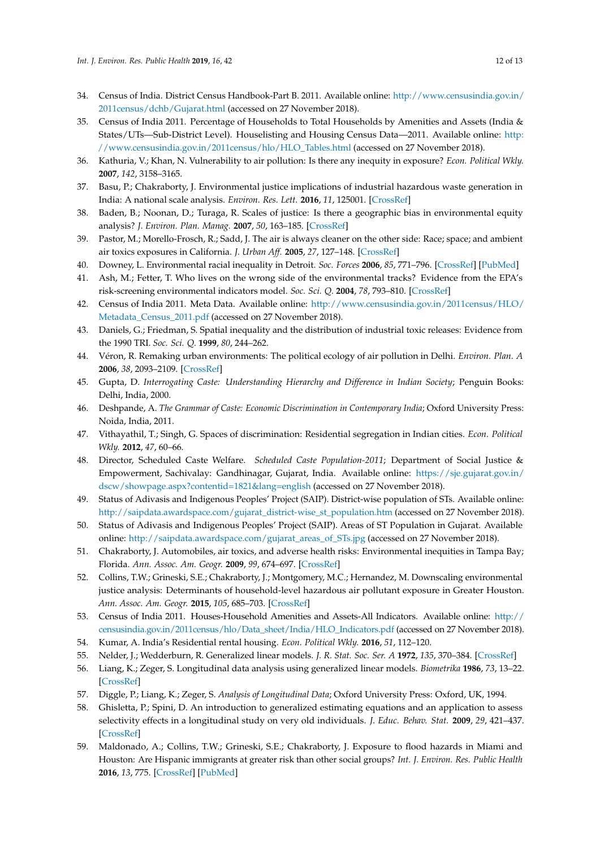- <span id="page-11-0"></span>34. Census of India. District Census Handbook-Part B. 2011. Available online: [http://www.censusindia.gov.in/](http://www.censusindia.gov.in/2011census/dchb/Gujarat.html) [2011census/dchb/Gujarat.html](http://www.censusindia.gov.in/2011census/dchb/Gujarat.html) (accessed on 27 November 2018).
- <span id="page-11-1"></span>35. Census of India 2011. Percentage of Households to Total Households by Amenities and Assets (India & States/UTs—Sub-District Level). Houselisting and Housing Census Data—2011. Available online: [http:](http://www.censusindia.gov.in/2011census/hlo/HLO_Tables.html) [//www.censusindia.gov.in/2011census/hlo/HLO\\_Tables.html](http://www.censusindia.gov.in/2011census/hlo/HLO_Tables.html) (accessed on 27 November 2018).
- <span id="page-11-2"></span>36. Kathuria, V.; Khan, N. Vulnerability to air pollution: Is there any inequity in exposure? *Econ. Political Wkly.* **2007**, *142*, 3158–3165.
- <span id="page-11-3"></span>37. Basu, P.; Chakraborty, J. Environmental justice implications of industrial hazardous waste generation in India: A national scale analysis. *Environ. Res. Lett.* **2016**, *11*, 125001. [\[CrossRef\]](http://dx.doi.org/10.1088/1748-9326/11/12/125001)
- <span id="page-11-4"></span>38. Baden, B.; Noonan, D.; Turaga, R. Scales of justice: Is there a geographic bias in environmental equity analysis? *J. Environ. Plan. Manag.* **2007**, *50*, 163–185. [\[CrossRef\]](http://dx.doi.org/10.1080/09640560601156433)
- <span id="page-11-5"></span>39. Pastor, M.; Morello-Frosch, R.; Sadd, J. The air is always cleaner on the other side: Race; space; and ambient air toxics exposures in California. *J. Urban Aff.* **2005**, *27*, 127–148. [\[CrossRef\]](http://dx.doi.org/10.1111/j.0735-2166.2005.00228.x)
- <span id="page-11-6"></span>40. Downey, L. Environmental racial inequality in Detroit. *Soc. Forces* **2006**, *85*, 771–796. [\[CrossRef\]](http://dx.doi.org/10.1353/sof.2007.0003) [\[PubMed\]](http://www.ncbi.nlm.nih.gov/pubmed/21874071)
- <span id="page-11-7"></span>41. Ash, M.; Fetter, T. Who lives on the wrong side of the environmental tracks? Evidence from the EPA's risk-screening environmental indicators model. *Soc. Sci. Q.* **2004**, *78*, 793–810. [\[CrossRef\]](http://dx.doi.org/10.1111/j.0038-4941.2004.08502011.x)
- <span id="page-11-8"></span>42. Census of India 2011. Meta Data. Available online: [http://www.censusindia.gov.in/2011census/HLO/](http://www.censusindia.gov.in/2011census/HLO/Metadata_Census_2011.pdf) [Metadata\\_Census\\_2011.pdf](http://www.censusindia.gov.in/2011census/HLO/Metadata_Census_2011.pdf) (accessed on 27 November 2018).
- <span id="page-11-9"></span>43. Daniels, G.; Friedman, S. Spatial inequality and the distribution of industrial toxic releases: Evidence from the 1990 TRI. *Soc. Sci. Q.* **1999**, *80*, 244–262.
- <span id="page-11-10"></span>44. Véron, R. Remaking urban environments: The political ecology of air pollution in Delhi. *Environ. Plan. A* **2006**, *38*, 2093–2109. [\[CrossRef\]](http://dx.doi.org/10.1068/a37449)
- <span id="page-11-11"></span>45. Gupta, D. *Interrogating Caste: Understanding Hierarchy and Difference in Indian Society*; Penguin Books: Delhi, India, 2000.
- <span id="page-11-12"></span>46. Deshpande, A. *The Grammar of Caste: Economic Discrimination in Contemporary India*; Oxford University Press: Noida, India, 2011.
- <span id="page-11-13"></span>47. Vithayathil, T.; Singh, G. Spaces of discrimination: Residential segregation in Indian cities. *Econ. Political Wkly.* **2012**, *47*, 60–66.
- <span id="page-11-14"></span>48. Director, Scheduled Caste Welfare. *Scheduled Caste Population-2011*; Department of Social Justice & Empowerment, Sachivalay: Gandhinagar, Gujarat, India. Available online: [https://sje.gujarat.gov.in/](https://sje.gujarat.gov.in/dscw/showpage.aspx?contentid=1821&lang=english) [dscw/showpage.aspx?contentid=1821&lang=english](https://sje.gujarat.gov.in/dscw/showpage.aspx?contentid=1821&lang=english) (accessed on 27 November 2018).
- <span id="page-11-15"></span>49. Status of Adivasis and Indigenous Peoples' Project (SAIP). District-wise population of STs. Available online: [http://saipdata.awardspace.com/gujarat\\_district-wise\\_st\\_population.htm](http://saipdata.awardspace.com/gujarat_district-wise_st_population.htm) (accessed on 27 November 2018).
- <span id="page-11-16"></span>50. Status of Adivasis and Indigenous Peoples' Project (SAIP). Areas of ST Population in Gujarat. Available online: [http://saipdata.awardspace.com/gujarat\\_areas\\_of\\_STs.jpg](http://saipdata.awardspace.com/gujarat_areas_of_STs.jpg) (accessed on 27 November 2018).
- <span id="page-11-17"></span>51. Chakraborty, J. Automobiles, air toxics, and adverse health risks: Environmental inequities in Tampa Bay; Florida. *Ann. Assoc. Am. Geogr.* **2009**, *99*, 674–697. [\[CrossRef\]](http://dx.doi.org/10.1080/00045600903066490)
- <span id="page-11-18"></span>52. Collins, T.W.; Grineski, S.E.; Chakraborty, J.; Montgomery, M.C.; Hernandez, M. Downscaling environmental justice analysis: Determinants of household-level hazardous air pollutant exposure in Greater Houston. *Ann. Assoc. Am. Geogr.* **2015**, *105*, 685–703. [\[CrossRef\]](http://dx.doi.org/10.1080/00045608.2015.1050754)
- <span id="page-11-19"></span>53. Census of India 2011. Houses-Household Amenities and Assets-All Indicators. Available online: [http://](http://censusindia.gov.in/2011census/hlo/Data_sheet/India/HLO_Indicators.pdf) [censusindia.gov.in/2011census/hlo/Data\\_sheet/India/HLO\\_Indicators.pdf](http://censusindia.gov.in/2011census/hlo/Data_sheet/India/HLO_Indicators.pdf) (accessed on 27 November 2018).
- <span id="page-11-20"></span>54. Kumar, A. India's Residential rental housing. *Econ. Political Wkly.* **2016**, *51*, 112–120.
- <span id="page-11-21"></span>55. Nelder, J.; Wedderburn, R. Generalized linear models. *J. R. Stat. Soc. Ser. A* **1972**, *135*, 370–384. [\[CrossRef\]](http://dx.doi.org/10.2307/2344614)
- <span id="page-11-22"></span>56. Liang, K.; Zeger, S. Longitudinal data analysis using generalized linear models. *Biometrika* **1986**, *73*, 13–22. [\[CrossRef\]](http://dx.doi.org/10.1093/biomet/73.1.13)
- <span id="page-11-23"></span>57. Diggle, P.; Liang, K.; Zeger, S. *Analysis of Longitudinal Data*; Oxford University Press: Oxford, UK, 1994.
- <span id="page-11-24"></span>58. Ghisletta, P.; Spini, D. An introduction to generalized estimating equations and an application to assess selectivity effects in a longitudinal study on very old individuals. *J. Educ. Behav. Stat.* **2009**, *29*, 421–437. [\[CrossRef\]](http://dx.doi.org/10.3102/10769986029004421)
- <span id="page-11-25"></span>59. Maldonado, A.; Collins, T.W.; Grineski, S.E.; Chakraborty, J. Exposure to flood hazards in Miami and Houston: Are Hispanic immigrants at greater risk than other social groups? *Int. J. Environ. Res. Public Health* **2016**, *13*, 775. [\[CrossRef\]](http://dx.doi.org/10.3390/ijerph13080775) [\[PubMed\]](http://www.ncbi.nlm.nih.gov/pubmed/27490561)